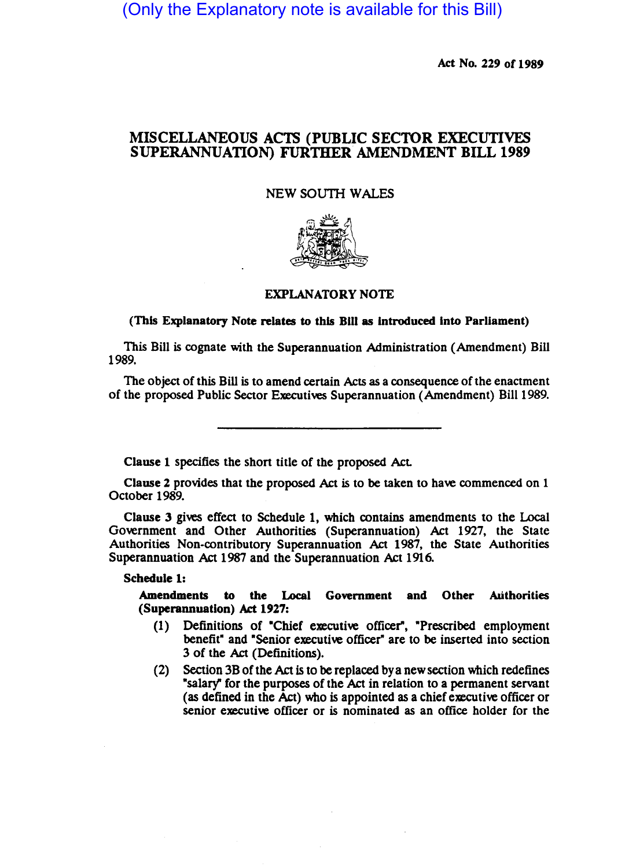(Only the Explanatory note is available for this Bill)

Act No. 229 of 1989

# MISCELLANEOUS ACTS (PUBLIC SECTOR EXECUTIVES SUPERANNUATION) FURTHER AMENDMENT BILL 1989

NEW SOUTH WALES



#### EXPLANATORY NOTE

#### (This Explanatory Note relates to this Bill as introduced into Parliament)

This Bill is cognate with the Superannuation Administration (Amendment) Bill 1989.

The Object of this Bill is to amend certain Acts as a consequence of the enactment of the proposed Public Sector Executives Superannuation (Amendment) Bill 1989.

Clause 1 specifies the short title of the proposed Act.

Clause 2 provides that the proposed Act is to be taken to have commenced on 1 October 1989.

Clause 3 gives effect to Schedule 1, which contains amendments to the Local Government and Other Authorities (Superannuation) Act 1927, the State Authorities Non-contributory Superannuation Act 1987, the State Authorities Superannuation Act 1987 and the Superannuation Act 1916.

#### Schedule 1:

Amendments to the Local Government and Other Authorities (Superannuation) Act 1927:

- (1) Definitions of ·Chief executive officer", ·Prescribed employment benefit" and "Senior executive officer" are to be inserted into section 3 of the Act (Definitions).
- (2) Section 3B of the Act is to be replaced bya new section which redefines "salary' for the purposes of the Act in relation to a permanent servant (as defined in the Act) who is appointed as a chief executive officer or senior executive officer or is nominated as an office holder for the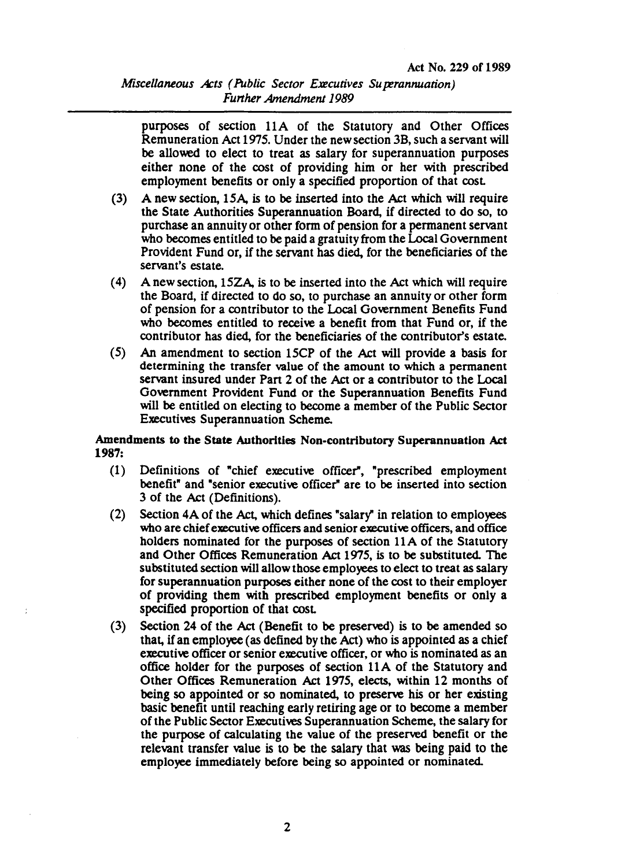## *Miscellaneous Acts (Public Sector Executives Su perannuation)* **Further Amendment 1989**

purposes of section 11A of the Statutory and Other Offices Remuneration Act 1975. Under the new section 3B, such a servant will be allowed to elect to treat as salary for superannuation purposes either none of the cost of providing him or her with prescribed employment benefits or only a specified proportion of that cost

- (3) A new section, 15A, is to be insened into the Act which will require the State Authorities Superannuation Board, if directed to do so, to purchase an annuity or other form of pension for a permanent servant who becomes entitled to be paid a gratuity from the Local Government Provident Fund or, if the servant has died, for the beneficiaries of the servant's estate.
- (4) A new section, 15ZA, is to be inserted into the Act which will require the Board, if directed to do so, to purchase an annuity or other form of pension for a contributor to the Local Government Benefits Fund who becomes entitled to receive a benefit from that Fund or, if the contributor has died, for the beneficiaries of the contributor'S estate.
- (5) An amendment to section 15CP of the Act will provide a basis for determining the transfer value of the amount to which a permanent servant insured under Part 2 of the Act or a contributor to the Local Government Provident Fund or the Superannuation Benefits Fund will be entitled on electing to become a member of the Public Sector Executives Superannuation Scheme.

### Amendments to the State Authorities Non-contributory Superannuation Act 1987:

- (1) Definitions of "chief executive officer", "prescribed employment benefit" and "senior executive officer" are to be inserted into section 3 of the Act (Definitions).
- (2) Section 4A of the Act, which defines "salary" in relation to employees who are chief executive officers and senior executive officers, and office holders nominated for the purposes of section 11A of the Statutory and Other Offices Remuneration Act 1975, is to be substituted. The substituted section will allow those employees to elect to treat as salary for superannuation purposes either none of the cost to their employer of prOviding them with prescribed employment benefits or only a specified proportion of that cost.
- (3) Section 24 of the Act (Benefit to be preserved) is to be amended so that, if an employee (as defined by the Act) who is appointed as a chief executive officer or senior executive officer, or who is nominated as an office holder for the purposes of section 11 A of the Statutory and Other Offices Remuneration Act 1975, elects, within 12 months of being so appointed or so nominated, to preserve his or her existing basic benefit until reaching early retiring age or to become a member of the Public Sector Executives Superannuation Scheme, the salary for the purpose of calculating the value of the preserved benefit or the relevant transfer value is to be the salary that was being paid to the employee immediately before being so appointed or nominated.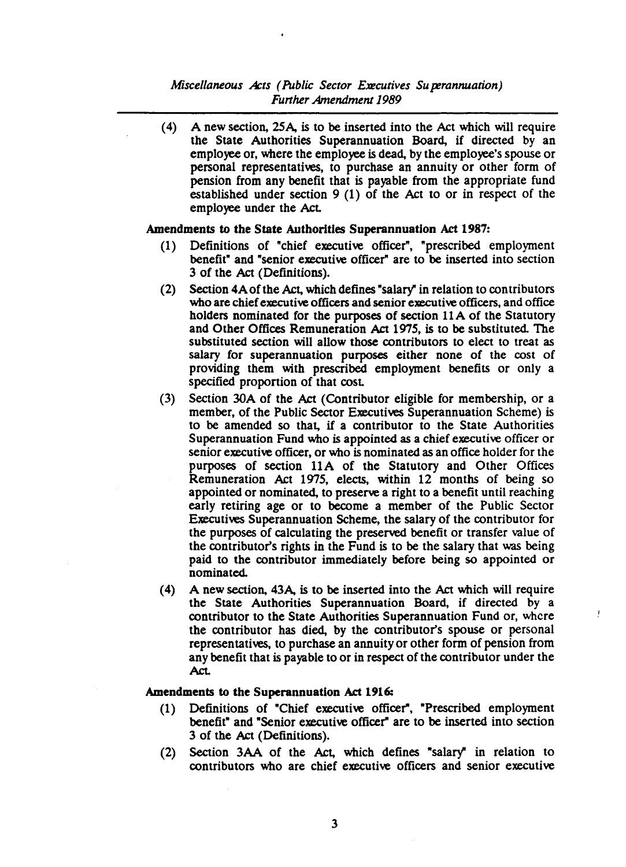### *Miscellaneous Acts (Public Sector Executives Su perannuation) Further Amendment 1989*

(4) A new section, 25A, is to be inserted into the Act which will require the State Authorities Superannuation Board, if directed by an employee or, where the employee is dead, by the employee's spouse or personal representatives, to purchase an annuity or other form of pension from any benefit that is payable from the appropriate fund established under section 9 (1) of the Act to or in respect of the employee under the Act.

### Amendments to the State Authorities Superannuation Act 1987:

- (1) Definitions of "chief executive officer", "prescribed employment benefit" and "senior executive officer" are to be inserted into section 3 of the Act (Definitions).
- (2) Section 4Aofthe Act, which defines "salary" in relation to contributors who are chief executive officers and senior executive officers, and office holders nominated for the purposes of section 11 A of the Statutory and Other Offices Remuneration Act 1975, is to be substituted. The substituted section will allow those contributors to elect to treat as salary for superannuation purposes either none of the cost of providing them with prescribed employment benefits or only a specified proportion of that cost.
- (3) Section 30A of the Act (Contributor eligible for membership, or a member, of the Public Sector Executives Superannuation Scheme) is to be amended so that, if a contributor to the State Authorities Superannuation Fund who is appointed as a chief executive officer or senior executive officer, or who is nominated as an office holder for the purposes of section 11A of the Statutory and Other Offices Remuneration Act 1975, elects, within 12 months of being so appointed or nominated, to preserve a right to a benefit until reaching early retiring age or to become a member of the Public Sector Executives Superannuation Scheme, the salary of the contributor for the purposes of calculating the preserved benefit or transfer value of the contributor's rights in the Fund is to be the salary that was being paid to the contributor immediately before being so appointed or nominated.
- (4) A new section, 43A, is to be inserted into the Act which will require the State Authorities Superannuation Board, if directed by a contributor to the State Authorities Superannuation Fund or, where the contributor has died, by the contributor's spouse or personal representatives, to purchase an annuity or other form of pension from any benefit that is payable to or in respect of the contributor under the Act.

Ţ

#### Amendments to the Superannuation Act 1916:

- (1) Definitions of "Chief executive officer", "Prescribed employment benefit" and "Senior executive officer" are to be inserted into section 3 of the Act (Definitions).
- (2) Section 3AA of the Act, which defines "salary" in relation to contributors who are chief executive officers and senior executive